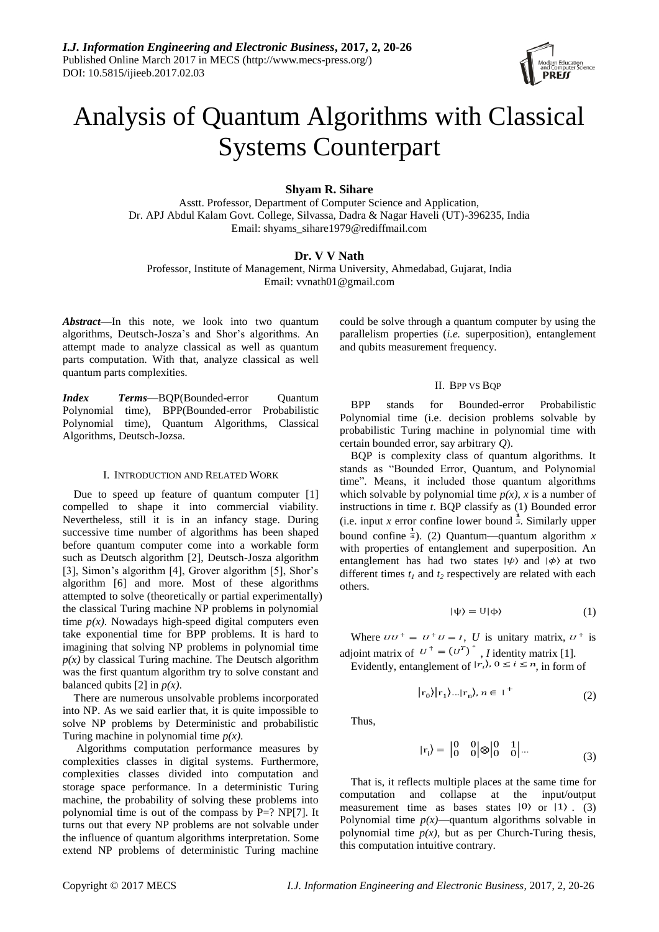

# Analysis of Quantum Algorithms with Classical Systems Counterpart

**Shyam R. Sihare**

Asstt. Professor, Department of Computer Science and Application, Dr. APJ Abdul Kalam Govt. College, Silvassa, Dadra & Nagar Haveli (UT)-396235, India Email: shyams\_sihare1979@rediffmail.com

# **Dr. V V Nath**

Professor, Institute of Management, Nirma University, Ahmedabad, Gujarat, India Email: vvnath01@gmail.com

*Abstract***—**In this note, we look into two quantum algorithms, Deutsch-Josza's and Shor's algorithms. An attempt made to analyze classical as well as quantum parts computation. With that, analyze classical as well quantum parts complexities.

*Index Terms*—BOP(Bounded-error Quantum Polynomial time), BPP(Bounded-error Probabilistic Polynomial time), Quantum Algorithms, Classical Algorithms, Deutsch-Jozsa.

## I. INTRODUCTION AND RELATED WORK

Due to speed up feature of quantum computer [1] compelled to shape it into commercial viability. Nevertheless, still it is in an infancy stage. During successive time number of algorithms has been shaped before quantum computer come into a workable form such as Deutsch algorithm [2], Deutsch-Josza algorithm [3], Simon's algorithm [4], Grover algorithm [5], Shor's algorithm [6] and more. Most of these algorithms attempted to solve (theoretically or partial experimentally) the classical Turing machine NP problems in polynomial time  $p(x)$ . Nowadays high-speed digital computers even take exponential time for BPP problems. It is hard to imagining that solving NP problems in polynomial time  $p(x)$  by classical Turing machine. The Deutsch algorithm was the first quantum algorithm try to solve constant and balanced qubits [2] in *p(x)*.

There are numerous unsolvable problems incorporated into NP. As we said earlier that, it is quite impossible to solve NP problems by Deterministic and probabilistic Turing machine in polynomial time *p(x)*.

Algorithms computation performance measures by complexities classes in digital systems. Furthermore, complexities classes divided into computation and storage space performance. In a deterministic Turing machine, the probability of solving these problems into polynomial time is out of the compass by P=? NP[7]. It turns out that every NP problems are not solvable under the influence of quantum algorithms interpretation. Some extend NP problems of deterministic Turing machine could be solve through a quantum computer by using the parallelism properties (*i.e.* superposition), entanglement and qubits measurement frequency.

## II. BPP VS BOP

BPP stands for Bounded-error Probabilistic Polynomial time (i.e. decision problems solvable by probabilistic Turing machine in polynomial time with certain bounded error, say arbitrary *Q*).

BQP is complexity class of quantum algorithms. It stands as "Bounded Error, Quantum, and Polynomial time". Means, it included those quantum algorithms which solvable by polynomial time  $p(x)$ , *x* is a number of instructions in time *t*. BQP classify as (1) Bounded error (i.e. input *x* error confine lower bound  $\frac{1}{3}$ . Similarly upper bound confine  $\frac{1}{4}$ ). (2) Quantum—quantum algorithm *x* with properties of entanglement and superposition. An entanglement has had two states  $|\psi\rangle$  and  $|\phi\rangle$  at two different times  $t_1$  and  $t_2$  respectively are related with each others.

$$
|\psi\rangle = U|\varphi\rangle \tag{1}
$$

Where  $UU^+ = U^+U = I$ , *U* is unitary matrix,  $U^+$  is adjoint matrix of  $U' = (U')$ , *I* identity matrix [1].

Evidently, entanglement of  $|r_i\rangle$ ,  $0 \le i \le n$ , in form of

$$
|r_0\rangle|r_1\rangle...|r_n\rangle, n \in I^+
$$
 (2)

Thus,

$$
|\mathbf{r}_{i}\rangle = \begin{vmatrix} 0 & 0 \\ 0 & 0 \end{vmatrix} \otimes \begin{vmatrix} 0 & 1 \\ 0 & 0 \end{vmatrix} \dots \tag{3}
$$

That is, it reflects multiple places at the same time for computation and collapse at the input/output measurement time as bases states  $|0\rangle$  or  $|1\rangle$ . (3) Polynomial time  $p(x)$ —quantum algorithms solvable in polynomial time  $p(x)$ , but as per Church-Turing thesis, this computation intuitive contrary.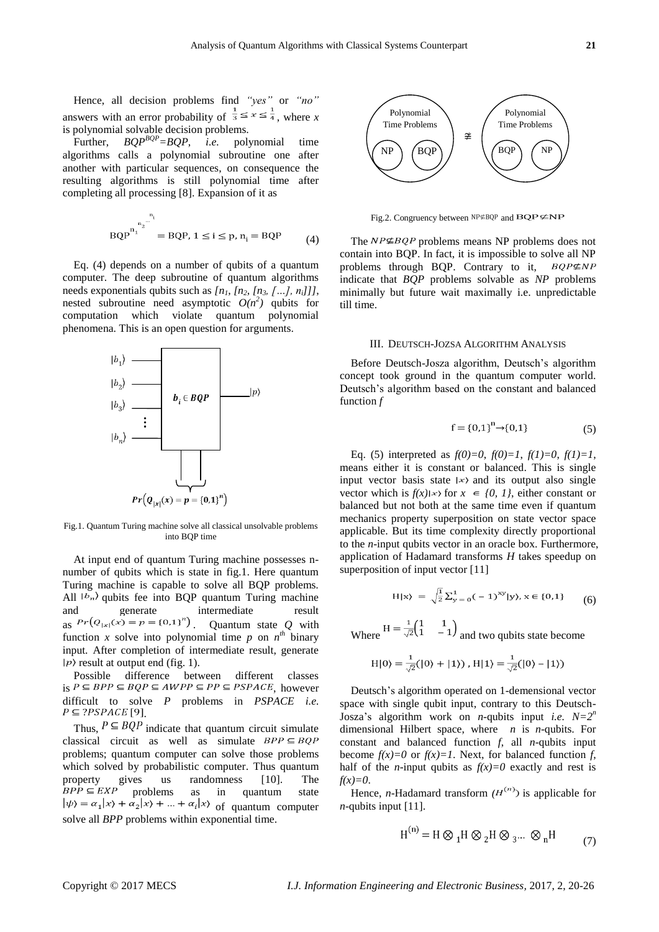Hence, all decision problems find *"yes"* or *"no"* answers with an error probability of  $\frac{1}{3} \le x \le \frac{1}{4}$ , where *x* is polynomial solvable decision problems.

Further, *BQPBQP=BQP*, *i.e.* polynomial time algorithms calls a polynomial subroutine one after another with particular sequences, on consequence the resulting algorithms is still polynomial time after completing all processing [8]. Expansion of it as

(4)

Eq. (4) depends on a number of qubits of a quantum computer. The deep subroutine of quantum algorithms needs exponentials qubits such as *[n1, [n2, [n3, […], ni]]]*, nested subroutine need asymptotic  $O(n^2)$  qubits for computation which violate quantum polynomial phenomena. This is an open question for arguments.



Fig.1. Quantum Turing machine solve all classical unsolvable problems into BQP time

At input end of quantum Turing machine possesses nnumber of qubits which is state in fig.1. Here quantum Turing machine is capable to solve all BQP problems. All  $\vert b_n \rangle$  qubits fee into BQP quantum Turing machine<br>and generate intermediate result and generate intermediate result as  $Pr(Q_{|x|}(x) = p = \{0,1\}^n)$ . Quantum state Q with function *x* solve into polynomial time *p* on  $n^{th}$  binary input. After completion of intermediate result, generate  $|p\rangle$  result at output end (fig. 1).

Possible difference between different classes is  $P \subseteq BPP \subseteq BQP \subseteq AWPP \subseteq PP \subseteq PSPACE$ , however difficult to solve *P* problems in *PSPACE i.e.*  $P \subseteq ?PSPACE$ [9].

Thus,  $P \subseteq BQP$  indicate that quantum circuit simulate classical circuit as well as simulate  $BPP \subseteq BQP$ problems; quantum computer can solve those problems which solved by probabilistic computer. Thus quantum property gives us randomness [10]. The problems as in quantum state of quantum computer solve all *BPP* problems within exponential time.



Fig.2. Congruency between  $NP \neq BQP$  and  $BQP \neq NP$ 

The  $NP \not\subseteq BQP$  problems means NP problems does not contain into BQP. In fact, it is impossible to solve all NP problems through BQP. Contrary to it,  $BQP \subseteq NP$ indicate that *BQP* problems solvable as *NP* problems minimally but future wait maximally i.e. unpredictable till time.

## III. DEUTSCH-JOZSA ALGORITHM ANALYSIS

Before Deutsch-Josza algorithm, Deutsch's algorithm concept took ground in the quantum computer world. Deutsch's algorithm based on the constant and balanced function *f*

$$
f = \{0,1\}^{n} \to \{0,1\} \tag{5}
$$

Eq. (5) interpreted as  $f(0)=0$ ,  $f(0)=1$ ,  $f(1)=0$ ,  $f(1)=1$ , means either it is constant or balanced. This is single input vector basis state  $|x\rangle$  and its output also single vector which is  $f(x)|x\rangle$  for  $x \in \{0, 1\}$ , either constant or balanced but not both at the same time even if quantum mechanics property superposition on state vector space applicable. But its time complexity directly proportional to the *n*-input qubits vector in an oracle box. Furthermore, application of Hadamard transforms *H* takes speedup on superposition of input vector [11]

$$
H|x\rangle = \sqrt{\frac{1}{2}} \sum_{y=0}^{1} (-1)^{xy} |y\rangle, x \in \{0, 1\}
$$
 (6)

Where  $H = \frac{1}{\sqrt{2}} \begin{pmatrix} 1 & 1 \\ 1 & -1 \end{pmatrix}$  and two qubits state become

H|0\rangle = 
$$
\frac{1}{\sqrt{2}}(|0\rangle + |1\rangle)
$$
, H|1\rangle =  $\frac{1}{\sqrt{2}}(|0\rangle - |1\rangle)$ 

Deutsch's algorithm operated on 1-demensional vector space with single qubit input, contrary to this Deutsch-Josza's algorithm work on *n*-qubits input *i.e. N=2<sup>n</sup>* dimensional Hilbert space, where *n* is *n*-qubits. For constant and balanced function *f*, all *n*-qubits input become  $f(x)=0$  or  $f(x)=1$ . Next, for balanced function *f*, half of the *n*-input qubits as  $f(x)=0$  exactly and rest is  $f(x)=0$ .

Hence, *n*-Hadamard transform  $(H^{(n)})$  is applicable for *n*-qubits input [11].

$$
H^{(n)} = H \otimes {}_{1}H \otimes {}_{2}H \otimes {}_{3}... \otimes {}_{n}H
$$
 (7)

 $\sim$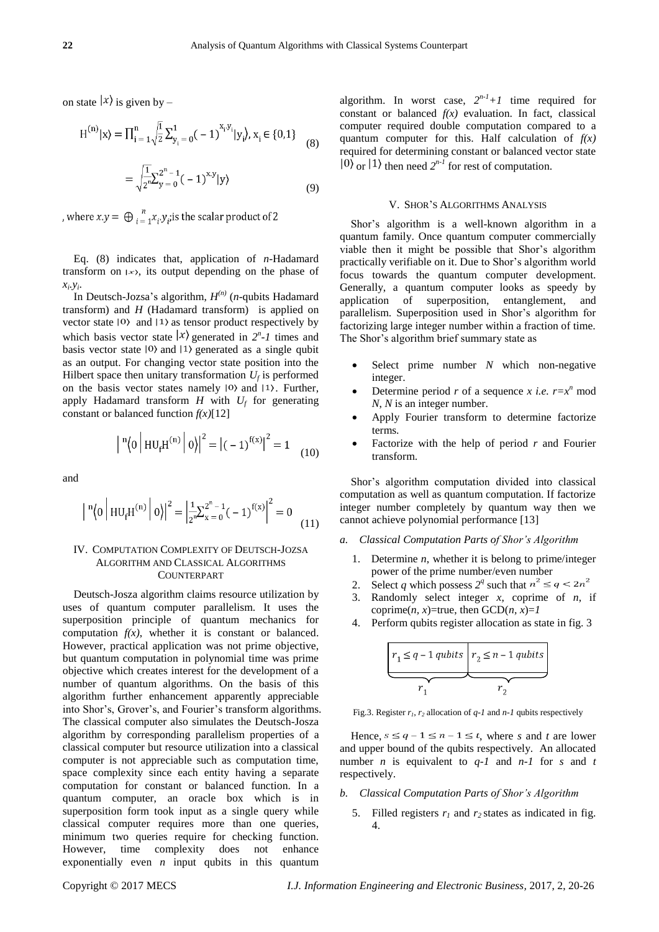on state  $|x\rangle$  is given by –

$$
H^{(n)}|x\rangle = \prod_{i=1}^{n} \sqrt{\frac{1}{2}} \sum_{y_i=0}^{1} (-1)^{x_i y_i} |y_i\rangle, x_i \in \{0, 1\}
$$
 (8)

$$
= \sqrt{\frac{1}{2} \sum_{y=0}^{2^{n}-1} (-1)^{x,y}} |y\rangle
$$
\n(9)

, where  $x.y = \bigoplus_{i=1}^n x_i.y_i$  is the scalar product of 2

Eq. (8) indicates that, application of *n*-Hadamard transform on  $|x\rangle$ , its output depending on the phase of  $x_i, y_i$ .

In Deutsch-Jozsa's algorithm, *H (n)* (*n*-qubits Hadamard transform) and *H* (Hadamard transform) is applied on vector state  $|0\rangle$  and  $|1\rangle$  as tensor product respectively by which basis vector state  $|x\rangle$  generated in  $2^n$ -1 times and basis vector state  $|0\rangle$  and  $|1\rangle$  generated as a single qubit as an output. For changing vector state position into the Hilbert space then unitary transformation  $U_f$  is performed on the basis vector states namely  $|0\rangle$  and  $|1\rangle$ . Further, apply Hadamard transform  $H$  with  $U_f$  for generating constant or balanced function *f(x)*[12]

$$
\left| \binom{n}{0} \left| \text{HU}_{f} \text{H}^{(n)} \right| 0 \right|^{2} = \left| (-1)^{f(x)} \right|^{2} = 1 \quad (10)
$$

and

$$
\left| \binom{n}{0} \left| H U_{f} H^{(n)} \right| 0 \right|^{2} = \left| \frac{1}{2^{n}} \sum_{x=0}^{2^{n}-1} (-1)^{f(x)} \right|^{2} = 0 \tag{11}
$$

# IV. COMPUTATION COMPLEXITY OF DEUTSCH-JOZSA ALGORITHM AND CLASSICAL ALGORITHMS COUNTERPART

Deutsch-Josza algorithm claims resource utilization by uses of quantum computer parallelism. It uses the superposition principle of quantum mechanics for computation  $f(x)$ , whether it is constant or balanced. However, practical application was not prime objective, but quantum computation in polynomial time was prime objective which creates interest for the development of a number of quantum algorithms. On the basis of this algorithm further enhancement apparently appreciable into Shor's, Grover's, and Fourier's transform algorithms. The classical computer also simulates the Deutsch-Josza algorithm by corresponding parallelism properties of a classical computer but resource utilization into a classical computer is not appreciable such as computation time, space complexity since each entity having a separate computation for constant or balanced function. In a quantum computer, an oracle box which is in superposition form took input as a single query while classical computer requires more than one queries, minimum two queries require for checking function. However, time complexity does not enhance exponentially even *n* input qubits in this quantum

algorithm. In worst case,  $2^{n-1}+1$  time required for constant or balanced  $f(x)$  evaluation. In fact, classical computer required double computation compared to a quantum computer for this. Half calculation of *f(x)* required for determining constant or balanced vector state or  $|1\rangle$  then need  $2^{n-1}$  for rest of computation.

#### V. SHOR'S ALGORITHMS ANALYSIS

Shor's algorithm is a well-known algorithm in a quantum family. Once quantum computer commercially viable then it might be possible that Shor's algorithm practically verifiable on it. Due to Shor's algorithm world focus towards the quantum computer development. Generally, a quantum computer looks as speedy by application of superposition, entanglement, and parallelism. Superposition used in Shor's algorithm for factorizing large integer number within a fraction of time. The Shor's algorithm brief summary state as

- Select prime number *N* which non-negative integer.
- Determine period *r* of a sequence *x i.e.*  $r = x^n$  mod *N*, *N* is an integer number.
- Apply Fourier transform to determine factorize terms.
- Factorize with the help of period *r* and Fourier transform.

Shor's algorithm computation divided into classical computation as well as quantum computation. If factorize integer number completely by quantum way then we cannot achieve polynomial performance [13]

- *a. Classical Computation Parts of Shor's Algorithm* 
	- 1. Determine *n*, whether it is belong to prime/integer power of the prime number/even number
	- 2. Select *q* which possess  $2^q$  such that
	- 3. Randomly select integer *x*, coprime of *n*, if coprime(*n*, *x*)=true, then  $GCD(n, x)=1$
	- 4. Perform qubits register allocation as state in fig. 3

$$
r_1 \leq q - 1 \text{ qubits}
$$
\n
$$
r_2 \leq n - 1 \text{ qubits}
$$
\n
$$
r_1
$$

Fig.3. Register  $r_1$ ,  $r_2$  allocation of  $q-1$  and  $n-1$  qubits respectively

Hence,  $s \leq q - 1 \leq n - 1 \leq t$ , where *s* and *t* are lower and upper bound of the qubits respectively. An allocated number *n* is equivalent to *q-1* and *n-1* for *s* and *t* respectively.

- *b. Classical Computation Parts of Shor's Algorithm* 
	- 5. Filled registers  $r_1$  and  $r_2$  states as indicated in fig. 4.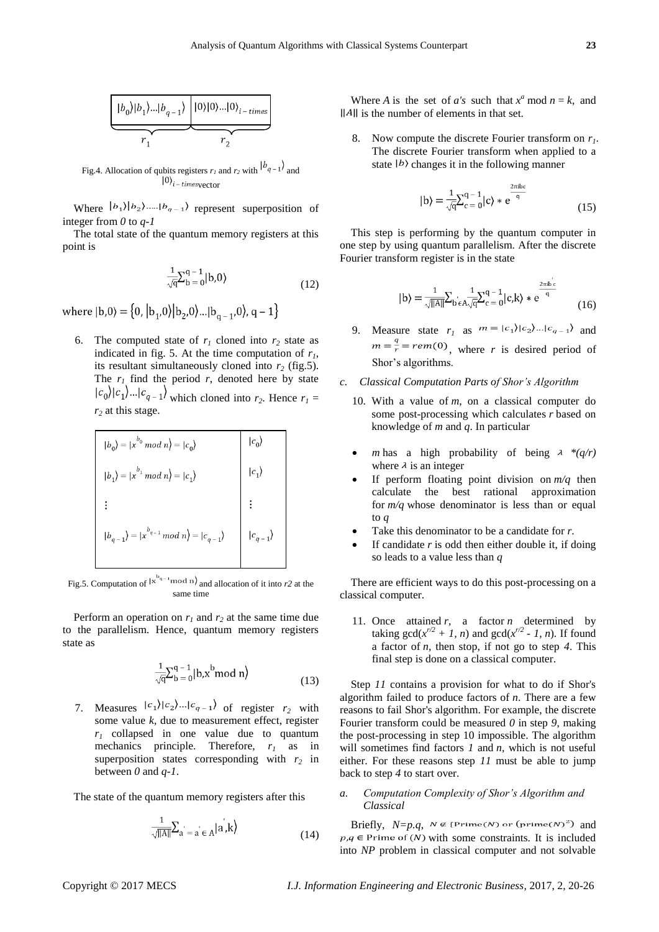

Fig.4. Allocation of qubits registers  $r_1$  and  $r_2$  with  $\left| \frac{b_{q-1}}{a} \right|$  and  $|0\rangle_{i-times}$ vector

Where  $|b_1\rangle |b_2\rangle$ ..... $|b_{q-1}\rangle$  represent superposition of integer from *0* to *q-1*

The total state of the quantum memory registers at this point is

$$
\frac{1}{\sqrt{q}} \sum_{b=0}^{q-1} |b,0\rangle
$$
 (12)

where  $|b,0\rangle = \{0, |b_1,0\rangle |b_2,0\rangle ... |b_{n-1},0\rangle, q-1\}$ 

6. The computed state of  $r_1$  cloned into  $r_2$  state as indicated in fig. 5. At the time computation of  $r<sub>1</sub>$ , its resultant simultaneously cloned into  $r_2$  (fig.5). The  $r_l$  find the period  $r$ , denoted here by state  $|c_0|$  $|c_1|$ ... $|c_{q-1}|$  which cloned into  $r_2$ . Hence  $r_1 =$ *r<sup>2</sup>* at this stage.

$$
|b_0\rangle = |x^{b_0} \mod n\rangle = |c_0\rangle
$$
  
\n
$$
|b_1\rangle = |x^{b_1} \mod n\rangle = |c_1\rangle
$$
  
\n
$$
\vdots
$$
  
\n
$$
|b_{q-1}\rangle = |x^{b_{q-1}} \mod n\rangle = |c_{q-1}\rangle
$$
  
\n
$$
|c_{q-1}\rangle
$$
  
\n
$$
|c_{q-1}\rangle
$$

Fig.5. Computation of  $|x^{b_{q-1}} \mod n$  and allocation of it into r2 at the same time

Perform an operation on  $r_1$  and  $r_2$  at the same time due to the parallelism. Hence, quantum memory registers state as

$$
\frac{1}{\sqrt{q}} \sum_{b=0}^{q-1} |b, x^b \bmod n \rangle
$$
 (13)

7. Measures  $|c_1\rangle |c_2\rangle ... |c_{q-1}\rangle$  of register  $r_2$  with some value *k*, due to measurement effect, register *r<sup>1</sup>* collapsed in one value due to quantum mechanics principle. Therefore, *r<sup>1</sup>* as in superposition states corresponding with  $r_2$  in between *0* and *q-1*.

The state of the quantum memory registers after this

$$
\frac{1}{\sqrt{\|A\|}}\sum_{a=a}^{ } \langle a, a \rangle \langle k \rangle
$$
 (14)

Where *A* is the set of *a's* such that  $x^a$  mod  $n = k$ , and  $\Vert A \Vert$  is the number of elements in that set.

8. Now compute the discrete Fourier transform on *r1*. The discrete Fourier transform when applied to a state  $|b\rangle$  changes it in the following manner

$$
|b\rangle = \frac{1}{\sqrt{q}} \sum_{c=0}^{q-1} |c\rangle * e^{\frac{2\pi i bc}{q}}
$$
\n(15)

This step is performing by the quantum computer in one step by using quantum parallelism. After the discrete Fourier transform register is in the state

$$
|b\rangle = \frac{1}{\sqrt{\|A\|}} \sum_{b \in A} \frac{1}{\sqrt{q}} \sum_{c=0}^{q-1} |c, k\rangle * e^{\frac{2\pi i b}{q}} \tag{16}
$$

9. Measure state  $r_1$  as  $m = |c_1\rangle |c_2\rangle ... |c_{q-1}\rangle$  and  $m = \frac{q}{r} = rem(0)$ , where *r* is desired period of Shor's algorithms.

### *c. Classical Computation Parts of Shor's Algorithm*

- 10. With a value of *m*, on a classical computer do some post-processing which calculates *r* based on knowledge of *m* and *q*. In particular
- *m* has a high probability of being  $\lambda * (q/r)$ where  $\lambda$  is an integer
- If perform floating point division on *m/q* then calculate the best rational approximation for *m/q* whose denominator is less than or equal to *q*
- Take this denominator to be a candidate for *r*.
- If candidate *r* is odd then either double it, if doing so leads to a value less than *q*

There are efficient ways to do this post-processing on a classical computer.

11. Once attained  $r$ , a factor  $n$  determined by taking  $gcd(x^{n/2} + 1, n)$  and  $gcd(x^{n/2} - 1, n)$ . If found a factor of *n*, then stop, if not go to step *4*. This final step is done on a classical computer.

Step *11* contains a provision for what to do if Shor's algorithm failed to produce factors of *n*. There are a few reasons to fail Shor's algorithm. For example, the discrete Fourier transform could be measured *0* in step *9*, making the post-processing in step 10 impossible. The algorithm will sometimes find factors *1* and *n*, which is not useful either. For these reasons step *11* must be able to jump back to step *4* to start over.

# *a. Computation Complexity of Shor's Algorithm and Classical*

Briefly,  $N=p.q$ ,  $N \notin {\text{Prime}(N)}$  or  ${\text{(prime}(N)}^2)$  and  $p,q \in \text{Prime of } (N)$  with some constraints. It is included into *NP* problem in classical computer and not solvable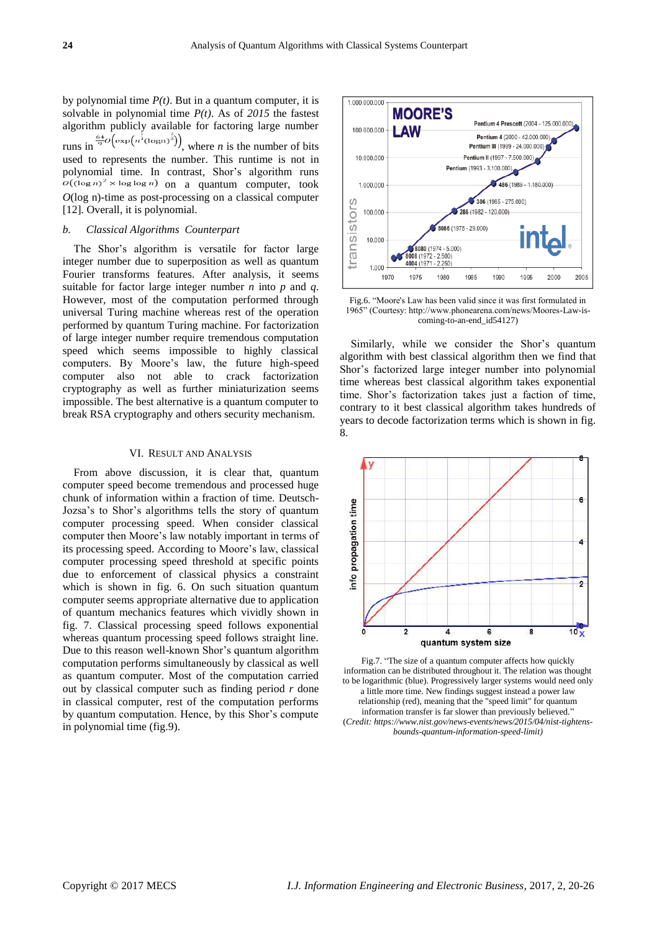by polynomial time  $P(t)$ . But in a quantum computer, it is solvable in polynomial time *P(t)*. As of *2015* the fastest algorithm publicly available for factoring large number runs in  $\frac{64}{9}O\left(\exp\left(n^{\frac{1}{3}}(\log n)^{\frac{2}{3}}\right)\right)$ , where *n* is the number of bits used to represents the number. This runtime is not in polynomial time. In contrast, Shor's algorithm runs  $o((\log n)^2 \times \log \log n)$  on a quantum computer, took *O*(log n)-time as post-processing on a classical computer [12]. Overall, it is polynomial.

### *b. Classical Algorithms Counterpart*

The Shor's algorithm is versatile for factor large integer number due to superposition as well as quantum Fourier transforms features. After analysis, it seems suitable for factor large integer number *n* into *p* and *q*. However, most of the computation performed through universal Turing machine whereas rest of the operation performed by quantum Turing machine. For factorization of large integer number require tremendous computation speed which seems impossible to highly classical computers. By Moore's law, the future high-speed computer also not able to crack factorization cryptography as well as further miniaturization seems impossible. The best alternative is a quantum computer to break RSA cryptography and others security mechanism.

#### VI. RESULT AND ANALYSIS

From above discussion, it is clear that, quantum computer speed become tremendous and processed huge chunk of information within a fraction of time. Deutsch-Jozsa's to Shor's algorithms tells the story of quantum computer processing speed. When consider classical computer then Moore's law notably important in terms of its processing speed. According to Moore's law, classical computer processing speed threshold at specific points due to enforcement of classical physics a constraint which is shown in fig. 6. On such situation quantum computer seems appropriate alternative due to application of quantum mechanics features which vividly shown in fig. 7. Classical processing speed follows exponential whereas quantum processing speed follows straight line. Due to this reason well-known Shor's quantum algorithm computation performs simultaneously by classical as well as quantum computer. Most of the computation carried out by classical computer such as finding period *r* done in classical computer, rest of the computation performs by quantum computation. Hence, by this Shor's compute in polynomial time (fig.9).



Fig.6. "Moore's Law has been valid since it was first formulated in 1965" (Courtesy: http://www.phonearena.com/news/Moores-Law-iscoming-to-an-end\_id54127)

Similarly, while we consider the Shor's quantum algorithm with best classical algorithm then we find that Shor's factorized large integer number into polynomial time whereas best classical algorithm takes exponential time. Shor's factorization takes just a faction of time, contrary to it best classical algorithm takes hundreds of years to decode factorization terms which is shown in fig. 8.



Fig.7. "The size of a quantum computer affects how quickly information can be distributed throughout it. The relation was thought to be logarithmic (blue). Progressively larger systems would need only a little more time. New findings suggest instead a power law relationship (red), meaning that the "speed limit" for quantum information transfer is far slower than previously believed." (*Credit: https://www.nist.gov/news-events/news/2015/04/nist-tightensbounds-quantum-information-speed-limit)*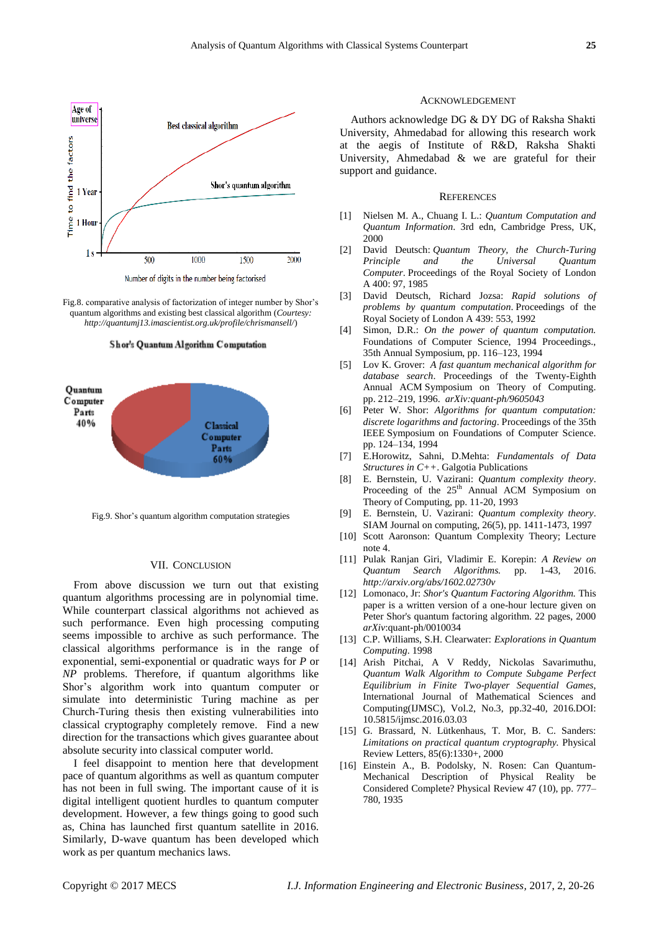

Number of digits in the number being factorised

Fig.8. comparative analysis of factorization of integer number by Shor's quantum algorithms and existing best classical algorithm (*Courtesy: http://quantumj13.imascientist.org.uk/profile/chrismansell/*)





Fig.9. Shor's quantum algorithm computation strategies

#### VII. CONCLUSION

From above discussion we turn out that existing quantum algorithms processing are in polynomial time. While counterpart classical algorithms not achieved as such performance. Even high processing computing seems impossible to archive as such performance. The classical algorithms performance is in the range of exponential, semi-exponential or quadratic ways for *P* or *NP* problems. Therefore, if quantum algorithms like Shor's algorithm work into quantum computer or simulate into deterministic Turing machine as per Church-Turing thesis then existing vulnerabilities into classical cryptography completely remove. Find a new direction for the transactions which gives guarantee about absolute security into classical computer world.

I feel disappoint to mention here that development pace of quantum algorithms as well as quantum computer has not been in full swing. The important cause of it is digital intelligent quotient hurdles to quantum computer development. However, a few things going to good such as, China has launched first quantum satellite in 2016. Similarly, D-wave quantum has been developed which work as per quantum mechanics laws.

#### ACKNOWLEDGEMENT

Authors acknowledge DG & DY DG of Raksha Shakti University, Ahmedabad for allowing this research work at the aegis of Institute of R&D, Raksha Shakti University, Ahmedabad & we are grateful for their support and guidance.

#### **REFERENCES**

- [1] Nielsen M. A., Chuang I. L.: *Quantum Computation and Quantum Information*. 3rd edn, Cambridge Press, UK, 2000
- [2] David Deutsch: *Quantum Theory, the Church-Turing Principle and the Universal Quantum Computer*. Proceedings of the Royal Society of London A 400: 97, 1985
- [3] David Deutsch, Richard Jozsa: *Rapid solutions of problems by quantum computation*. Proceedings of the Royal Society of London A 439: 553, 1992
- [4] Simon, D.R.: *On the power of quantum computation.*  Foundations of Computer Science, 1994 Proceedings., 35th Annual Symposium, pp. 116–123, 1994
- [5] Lov K. Grover: *A fast quantum mechanical algorithm for database search*. Proceedings of the Twenty-Eighth Annual ACM Symposium on Theory of Computing. pp. 212–219, 1996. *arXiv:quant-ph/9605043*
- [6] Peter W. Shor: *Algorithms for quantum computation: discrete logarithms and factoring*. Proceedings of the 35th IEEE Symposium on Foundations of Computer Science. pp. 124–134, 1994
- [7] E.Horowitz, Sahni, D.Mehta: *Fundamentals of Data Structures in C++*. Galgotia Publications
- [8] E. Bernstein, U. Vazirani: *Quantum complexity theory*. Proceeding of the 25<sup>th</sup> Annual ACM Symposium on Theory of Computing, pp. 11-20, 1993
- [9] E. Bernstein, U. Vazirani: *Quantum complexity theory*. SIAM Journal on computing, 26(5), pp. 1411-1473, 1997
- [10] Scott Aaronson: Quantum Complexity Theory; Lecture note 4.
- [11] Pulak Ranjan Giri, Vladimir E. Korepin: *A Review on Quantum Search Algorithms.* pp. 1-43, 2016. *http://arxiv.org/abs/1602.02730v*
- [12] Lomonaco, Jr: *Shor's Quantum Factoring Algorithm.* This paper is a written version of a one-hour lecture given on Peter Shor's quantum factoring algorithm. 22 pages, 2000 *arXiv*:quant-ph/0010034
- [13] C.P. Williams, S.H. Clearwater: *Explorations in Quantum Computing*. 1998
- [14] Arish Pitchai, A V Reddy, Nickolas Savarimuthu, *Quantum Walk Algorithm to Compute Subgame Perfect Equilibrium in Finite Two-player Sequential Games*, International Journal of Mathematical Sciences and Computing(IJMSC), Vol.2, No.3, pp.32-40, 2016.DOI: 10.5815/ijmsc.2016.03.03
- [15] G. Brassard, N. Lütkenhaus, T. Mor, B. C. Sanders: *Limitations on practical quantum cryptography.* Physical Review Letters, 85(6):1330+, 2000
- [16] Einstein A., B. Podolsky, N. Rosen: Can Quantum-Mechanical Description of Physical Reality be Considered Complete? Physical Review 47 (10), pp. 777– 780, 1935